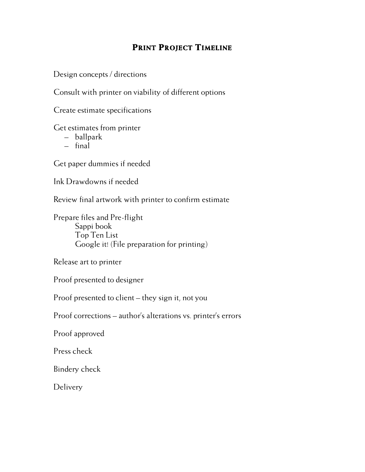# **PRINT PROJECT TIMELINE**

Design concepts / directions

Consult with printer on viability of different options

Create estimate specifications

Get estimates from printer

- ballpark
- final

Get paper dummies if needed

Ink Drawdowns if needed

Review final artwork with printer to confirm estimate

Prepare files and Pre-flight Sappi book Top Ten List Google it! (File preparation for printing)

Release art to printer

Proof presented to designer

Proof presented to client – they sign it, not you

Proof corrections – author's alterations vs. printer's errors

Proof approved

Press check

Bindery check

**Delivery**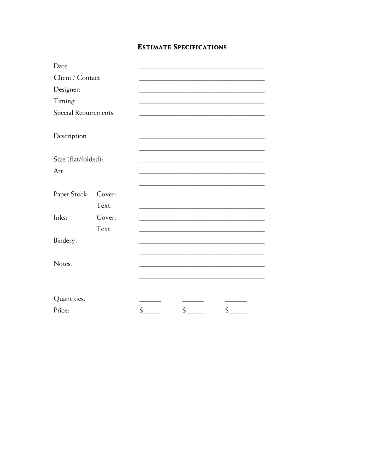# **ESTIMATE SPECIFICATIONS**

| Date                        |        |                            |               |    |
|-----------------------------|--------|----------------------------|---------------|----|
| Client / Contact            |        |                            |               |    |
| Designer:                   |        |                            |               |    |
| Timing                      |        |                            |               |    |
| <b>Special Requirements</b> |        |                            |               |    |
|                             |        |                            |               |    |
| Description                 |        |                            |               |    |
|                             |        |                            |               |    |
| Size (flat/folded):         |        |                            |               |    |
| Art:                        |        |                            |               |    |
|                             |        |                            |               |    |
| Paper Stock:                | Cover: |                            |               |    |
|                             | Text:  |                            |               |    |
| Inks:                       | Cover: |                            |               |    |
|                             | Text:  |                            |               |    |
| Bindery:                    |        |                            |               |    |
|                             |        |                            |               |    |
| Notes:                      |        |                            |               |    |
|                             |        |                            |               |    |
|                             |        |                            |               |    |
| Quantities:                 |        |                            |               |    |
| Price:                      |        | $\boldsymbol{\mathsf{\$}}$ | $\mathsf{\$}$ | \$ |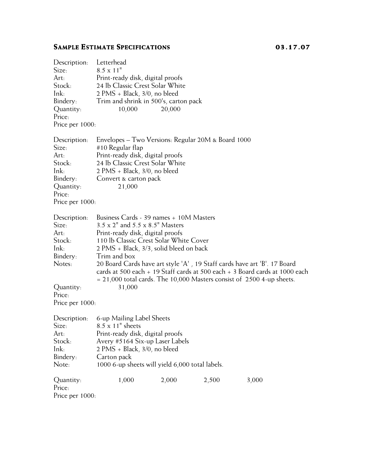# **SAMPLE ESTIMATE SPECIFICATIONS** 03.17.07

| Description:<br>Size:<br>Art: | Letterhead<br>$8.5 \times 11$ "<br>Print-ready disk, digital proofs                                                                                                                                                                    |                                       |       |       |  |
|-------------------------------|----------------------------------------------------------------------------------------------------------------------------------------------------------------------------------------------------------------------------------------|---------------------------------------|-------|-------|--|
| Stock:                        | 24 lb Classic Crest Solar White                                                                                                                                                                                                        |                                       |       |       |  |
| Ink:                          |                                                                                                                                                                                                                                        | $2$ PMS + Black, $3/0$ , no bleed     |       |       |  |
| Bindery:                      |                                                                                                                                                                                                                                        | Trim and shrink in 500's, carton pack |       |       |  |
| Quantity:<br>Price:           | 10,000                                                                                                                                                                                                                                 | 20,000                                |       |       |  |
| Price per 1000:               |                                                                                                                                                                                                                                        |                                       |       |       |  |
|                               |                                                                                                                                                                                                                                        |                                       |       |       |  |
| Description:<br>Size:<br>Art: | Envelopes – Two Versions: Regular 20M & Board 1000<br>#10 Regular flap<br>Print-ready disk, digital proofs                                                                                                                             |                                       |       |       |  |
| Stock:                        | 24 lb Classic Crest Solar White                                                                                                                                                                                                        |                                       |       |       |  |
| Ink:                          | $2$ PMS + Black, $3/0$ , no bleed                                                                                                                                                                                                      |                                       |       |       |  |
| Bindery:                      | Convert & carton pack                                                                                                                                                                                                                  |                                       |       |       |  |
| Quantity:<br>Price:           | 21,000                                                                                                                                                                                                                                 |                                       |       |       |  |
| Price per 1000:               |                                                                                                                                                                                                                                        |                                       |       |       |  |
|                               |                                                                                                                                                                                                                                        |                                       |       |       |  |
| Description:<br>Size:         | Business Cards - 39 names + 10M Masters<br>3.5 x 2" and 5.5 x 8.5" Masters                                                                                                                                                             |                                       |       |       |  |
| Art:                          | Print-ready disk, digital proofs<br>110 lb Classic Crest Solar White Cover                                                                                                                                                             |                                       |       |       |  |
| Stock:                        |                                                                                                                                                                                                                                        |                                       |       |       |  |
| Ink:                          | 2 PMS + Black, 3/3, solid bleed on back                                                                                                                                                                                                |                                       |       |       |  |
| Bindery:                      | Trim and box                                                                                                                                                                                                                           |                                       |       |       |  |
| Notes:                        | 20 Board Cards have art style 'A', 19 Staff cards have art 'B'. 17 Board<br>cards at 500 each $+$ 19 Staff cards at 500 each $+$ 3 Board cards at 1000 each<br>$= 21,000$ total cards. The 10,000 Masters consist of 2500 4-up sheets. |                                       |       |       |  |
| Quantity:<br>Price:           | 31,000                                                                                                                                                                                                                                 |                                       |       |       |  |
| Price per 1000:               |                                                                                                                                                                                                                                        |                                       |       |       |  |
| Description:                  | 6-up Mailing Label Sheets                                                                                                                                                                                                              |                                       |       |       |  |
| Size:                         | $8.5 \times 11$ " sheets                                                                                                                                                                                                               |                                       |       |       |  |
| Art:                          | Print-ready disk, digital proofs                                                                                                                                                                                                       |                                       |       |       |  |
| Stock:                        | Avery #5164 Six-up Laser Labels                                                                                                                                                                                                        |                                       |       |       |  |
| Ink:                          | $2$ PMS + Black, $3/0$ , no bleed                                                                                                                                                                                                      |                                       |       |       |  |
| Bindery:                      | Carton pack                                                                                                                                                                                                                            |                                       |       |       |  |
| Note:                         | 1000 6-up sheets will yield 6,000 total labels.                                                                                                                                                                                        |                                       |       |       |  |
| Quantity:                     | 1,000                                                                                                                                                                                                                                  | 2,000                                 | 2,500 | 3,000 |  |
| Price:                        |                                                                                                                                                                                                                                        |                                       |       |       |  |
| Price per 1000:               |                                                                                                                                                                                                                                        |                                       |       |       |  |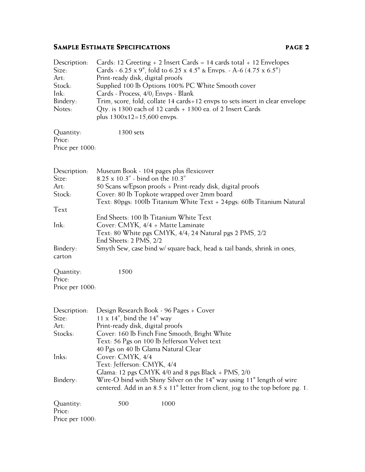# **SAMPLE ESTIMATE SPECIFICATIONS PAGE 2**

| Description: | Cards: 12 Greeting $+$ 2 Insert Cards = 14 cards total $+$ 12 Envelopes       |
|--------------|-------------------------------------------------------------------------------|
| Size:        | Cards - 6.25 x 9", fold to 6.25 x 4.5" & Envps. - A-6 (4.75 x 6.5")           |
| Art:         | Print-ready disk, digital proofs                                              |
| Stock:       | Supplied 100 lb Options 100% PC White Smooth cover                            |
| $lnk$ :      | Cards - Process, 4/0; Envps - Blank                                           |
| Bindery:     | Trim, score, fold, collate 14 cards+12 envps to sets insert in clear envelope |
| Notes:       | Qty. is 1300 each of 12 cards + 1300 ea. of 2 Insert Cards                    |
|              | plus $1300x12=15,600$ envps.                                                  |
|              |                                                                               |

| Quantity:       | 1300 sets |
|-----------------|-----------|
| Price:          |           |
| Price per 1000: |           |

| Description: | Museum Book - 104 pages plus flexicover                                 |
|--------------|-------------------------------------------------------------------------|
| Size:        | $8.25 \times 10.3''$ - bind on the 10.3"                                |
| Art:         | 50 Scans w/Epson proofs + Print-ready disk, digital proofs              |
| Stock:       | Cover: 80 lb Topkote wrapped over 2mm board                             |
|              | Text: 80pgs: 100lb Titanium White Text + 24pgs: 60lb Titanium Natural   |
| Text         |                                                                         |
|              | End Sheets: 100 lb Titanium White Text                                  |
| Ink:         | Cover: CMYK, 4/4 + Matte Laminate                                       |
|              | Text: 80 White pgs CMYK, 4/4, 24 Natural pgs 2 PMS, 2/2                 |
|              | End Sheets: 2 PMS, 2/2                                                  |
| Bindery:     | Smyth Sew, case bind w/ square back, head & tail bands, shrink in ones, |
| carton       |                                                                         |
|              |                                                                         |

| Quantity:       | 1500 |
|-----------------|------|
| Price:          |      |
| Price per 1000: |      |

| Description:    | Design Research Book - 96 Pages + Cover                                                |  |  |  |
|-----------------|----------------------------------------------------------------------------------------|--|--|--|
| Size:           | $11 \times 14$ ", bind the $14$ " way                                                  |  |  |  |
| Art:            | Print-ready disk, digital proofs                                                       |  |  |  |
| Stocks:         | Cover: 160 lb Finch Fine Smooth, Bright White                                          |  |  |  |
|                 | Text: 56 Pgs on 100 lb Jefferson Velvet text                                           |  |  |  |
|                 | 40 Pgs on 40 lb Glama Natural Clear                                                    |  |  |  |
| Inks:           | Cover: CMYK, 4/4                                                                       |  |  |  |
|                 | Text: Jefferson: CMYK, 4/4                                                             |  |  |  |
|                 | Glama: 12 pgs CMYK $4/0$ and 8 pgs Black + PMS, $2/0$                                  |  |  |  |
| Bindery:        | Wire-O bind with Shiny Silver on the 14" way using 11" length of wire                  |  |  |  |
|                 | centered. Add in an $8.5 \times 11$ " letter from client, jog to the top before pg. 1. |  |  |  |
| Quantity:       | 500<br>1000                                                                            |  |  |  |
| Price:          |                                                                                        |  |  |  |
|                 |                                                                                        |  |  |  |
| Price per 1000: |                                                                                        |  |  |  |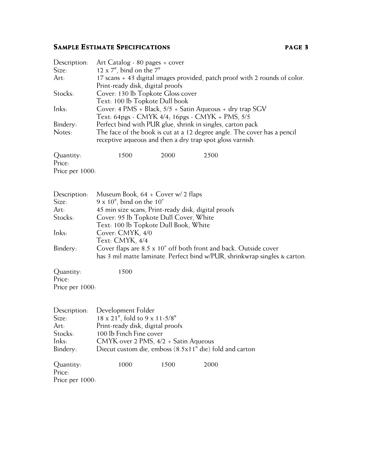# **SAMPLE ESTIMATE SPECIFICATIONS PAGE 3**

| Description:        | Art Catalog - 80 pages + cover                                                                                                                  |      |                                                                                                                                       |  |
|---------------------|-------------------------------------------------------------------------------------------------------------------------------------------------|------|---------------------------------------------------------------------------------------------------------------------------------------|--|
| Size:               | $12 \times 7$ ", bind on the $7$ "                                                                                                              |      |                                                                                                                                       |  |
| Art:                | 17 scans + 43 digital images provided, patch proof with 2 rounds of color.<br>Print-ready disk, digital proofs                                  |      |                                                                                                                                       |  |
| Stocks:             | Cover: 130 lb Topkote Gloss cover                                                                                                               |      |                                                                                                                                       |  |
| Inks:               | Text: 100 lb Topkote Dull book<br>Cover: 4 PMS + Black, $5/5$ + Satin Aqueous + dry trap SGV<br>Text: 64pgs - CMYK 4/4; 16pgs - CMYK + PMS, 5/5 |      |                                                                                                                                       |  |
| Bindery:            | Perfect bind with PUR glue, shrink in singles, carton pack                                                                                      |      |                                                                                                                                       |  |
| Notes:              |                                                                                                                                                 |      | The face of the book is cut at a 12 degree angle. The cover has a pencil<br>receptive aqueous and then a dry trap spot gloss varnish. |  |
|                     |                                                                                                                                                 |      |                                                                                                                                       |  |
| Quantity:<br>Price: | 1500                                                                                                                                            | 2000 | 2500                                                                                                                                  |  |
| Price per 1000:     |                                                                                                                                                 |      |                                                                                                                                       |  |
|                     |                                                                                                                                                 |      |                                                                                                                                       |  |
|                     |                                                                                                                                                 |      |                                                                                                                                       |  |
| Description:        | Museum Book, $64 + \text{Cover w}/ 2$ flaps                                                                                                     |      |                                                                                                                                       |  |
| Size:               | $9 \times 10$ ", bind on the $10$ "                                                                                                             |      |                                                                                                                                       |  |
| Art:                | 45 min size scans, Print-ready disk, digital proofs                                                                                             |      |                                                                                                                                       |  |
| Stocks:             | Cover: 95 lb Topkote Dull Cover, White                                                                                                          |      |                                                                                                                                       |  |
|                     | Text: 100 lb Topkote Dull Book, White                                                                                                           |      |                                                                                                                                       |  |
| Inks:               | Cover: CMYK, 4/0                                                                                                                                |      |                                                                                                                                       |  |
|                     | Text: CMYK, 4/4                                                                                                                                 |      |                                                                                                                                       |  |
| Bindery:            |                                                                                                                                                 |      | Cover flaps are 8.5 x 10" off both front and back. Outside cover                                                                      |  |
|                     |                                                                                                                                                 |      | has 3 mil matte laminate. Perfect bind w/PUR, shrinkwrap singles & carton.                                                            |  |
| Quantity:           | 1500                                                                                                                                            |      |                                                                                                                                       |  |
| Price:              |                                                                                                                                                 |      |                                                                                                                                       |  |
| Price per 1000:     |                                                                                                                                                 |      |                                                                                                                                       |  |
|                     |                                                                                                                                                 |      |                                                                                                                                       |  |
|                     |                                                                                                                                                 |      |                                                                                                                                       |  |
| Description:        | Development Folder                                                                                                                              |      |                                                                                                                                       |  |
| Size:               | 18 x 21", fold to 9 x 11-5/8"                                                                                                                   |      |                                                                                                                                       |  |
| Art:                | Print-ready disk, digital proofs                                                                                                                |      |                                                                                                                                       |  |
| Stocks:             | 100 lb Finch Fine cover                                                                                                                         |      |                                                                                                                                       |  |
| Inks:               | CMYK over 2 PMS, 4/2 + Satin Aqueous                                                                                                            |      |                                                                                                                                       |  |
| Bindery:            |                                                                                                                                                 |      | Diecut custom die, emboss (8.5x11" die) fold and carton                                                                               |  |
| Quantity:           | 1000                                                                                                                                            | 1500 | 2000                                                                                                                                  |  |
| Price:              |                                                                                                                                                 |      |                                                                                                                                       |  |
| Price per 1000:     |                                                                                                                                                 |      |                                                                                                                                       |  |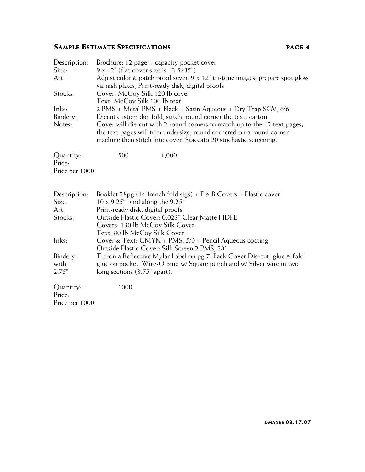# **SAMPLE ESTIMATE SPECIFICATIONS PAGE 4**

| Description:<br>Size:                  | Brochure: 12 page $+$ capacity pocket cover<br>$9 \times 12$ " (flat cover size is $13.5 \times 35$ ")                                                                                                                 |  |  |
|----------------------------------------|------------------------------------------------------------------------------------------------------------------------------------------------------------------------------------------------------------------------|--|--|
| Art:                                   | Adjust color & patch proof seven 9 x 12" tri-tone images, prepare spot gloss<br>varnish plates, Print-ready disk, digital proofs                                                                                       |  |  |
| Stocks:                                | Cover: McCoy Silk 120 lb cover<br>Text: McCoy Silk 100 lb text                                                                                                                                                         |  |  |
| Inks:                                  | 2 PMS + Metal PMS + Black + Satin Aqueous + Dry Trap SGV, 6/6                                                                                                                                                          |  |  |
| Bindery:                               | Diecut custom die, fold, stitch, round corner the text, carton                                                                                                                                                         |  |  |
| Notes:                                 | Cover will die-cut with 2 round corners to match up to the 12 text pages,<br>the text pages will trim undersize, round cornered on a round corner<br>machine then stitch into cover. Staccato 20 stochastic screening. |  |  |
| Quantity:<br>Price:                    | 1,000<br>500                                                                                                                                                                                                           |  |  |
| Price per 1000:                        |                                                                                                                                                                                                                        |  |  |
| Description:                           | Booklet 28pg (14 french fold sigs) + $F$ & B Covers + Plastic cover                                                                                                                                                    |  |  |
| Size:<br>Art:                          | 10 x 9.25" bind along the 9.25"<br>Print-ready disk, digital proofs                                                                                                                                                    |  |  |
| Stocks:                                | Outside Plastic Cover: 0.023" Clear Matte HDPE                                                                                                                                                                         |  |  |
|                                        | Covers: 130 lb McCoy Silk Cover                                                                                                                                                                                        |  |  |
|                                        | Text: 80 lb McCoy Silk Cover                                                                                                                                                                                           |  |  |
| Inks:                                  | Cover & Text: CMYK + PMS, 5/0 + Pencil Aqueous coating<br>Outside Plastic Cover: Silk Screen 2 PMS, 2/0                                                                                                                |  |  |
| Bindery:                               | Tip-on a Reflective Mylar Label on pg 7. Back Cover Die-cut, glue & fold                                                                                                                                               |  |  |
| with                                   | glue on pocket. Wire-O Bind w/ Square punch and w/ Silver wire in two                                                                                                                                                  |  |  |
| 2.75"                                  | long sections $(3.75)$ <sup>"</sup> apart),                                                                                                                                                                            |  |  |
| Quantity:<br>Price:<br>Price per 1000: | 1000                                                                                                                                                                                                                   |  |  |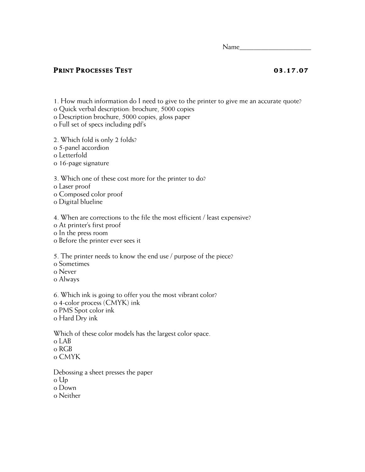$Name$ 

### **PRINT PROCESSES TEST 03.17.07**

1. How much information do I need to give to the printer to give me an accurate quote?

o Quick verbal description: brochure, 5000 copies

o Description brochure, 5000 copies, gloss paper

o Full set of specs including pdf's

2. Which fold is only 2 folds?

o 5-panel accordion

o Letterfold

o 16-page signature

3. Which one of these cost more for the printer to do?

o Laser proof

o Composed color proof

o Digital blueline

4. When are corrections to the file the most efficient / least expensive?

o At printer's first proof

o In the press room

o Before the printer ever sees it

5. The printer needs to know the end use / purpose of the piece?

o Sometimes

o Never

o Always

6. Which ink is going to offer you the most vibrant color? o 4-color process (CMYK) ink o PMS Spot color ink o Hard Dry ink

Which of these color models has the largest color space. o LAB o RGB o CMYK

Debossing a sheet presses the paper o Up o Down o Neither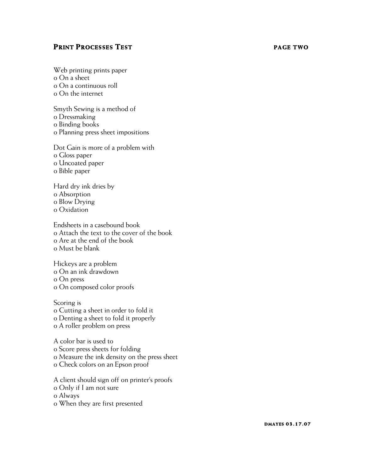### **PRINT PROCESSES TEST PAGE TWO**

Web printing prints paper o On a sheet o On a continuous roll o On the internet

Smyth Sewing is a method of o Dressmaking o Binding books o Planning press sheet impositions

Dot Gain is more of a problem with o Gloss paper o Uncoated paper o Bible paper

Hard dry ink dries by o Absorption o Blow Drying o Oxidation

Endsheets in a casebound book o Attach the text to the cover of the book o Are at the end of the book o Must be blank

Hickeys are a problem o On an ink drawdown o On press o On composed color proofs

Scoring is o Cutting a sheet in order to fold it o Denting a sheet to fold it properly o A roller problem on press

A color bar is used to o Score press sheets for folding o Measure the ink density on the press sheet o Check colors on an Epson proof

A client should sign off on printer's proofs

o Only if I am not sure

o Always

o When they are first presented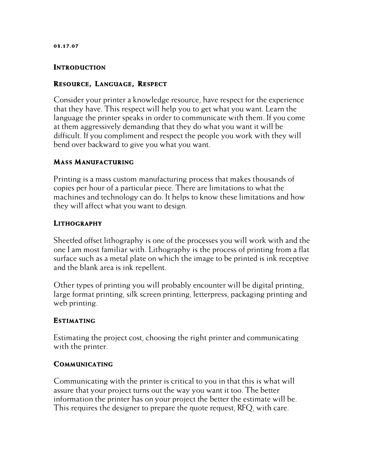### **INTRODUCTION**

### **RESOURCE, LANGUAGE, RE SPECT**

Consider your printer a knowledge resource, have respect for the experience that they have. This respect will help you to get what you want. Learn the language the printer speaks in order to communicate with them. If you come at them aggressively demanding that they do what you want it will be difficult. If you compliment and respect the people you work with they will bend over backward to give you what you want.

## **MASS MANUFACTURING**

Printing is a mass custom manufacturing process that makes thousands of copies per hour of a particular piece. There are limitations to what the machines and technology can do. It helps to know these limitations and how they will affect what you want to design.

## **LITHOGRAPHY**

Sheetfed offset lithography is one of the processes you will work with and the one I am most familiar with. Lithography is the process of printing from a flat surface such as a metal plate on which the image to be printed is ink receptive and the blank area is ink repellent.

Other types of printing you will probably encounter will be digital printing, large format printing, silk screen printing, letterpress, packaging printing and web printing.

### **ESTIMATING**

Estimating the project cost, choosing the right printer and communicating with the printer.

### **COMMUNICATING**

Communicating with the printer is critical to you in that this is what will assure that your project turns out the way you want it too. The better information the printer has on your project the better the estimate will be. This requires the designer to prepare the quote request, RFQ, with care.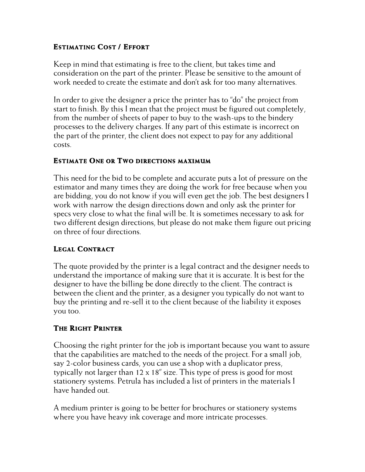## **ESTIMATING COST / EFFORT**

Keep in mind that estimating is free to the client, but takes time and consideration on the part of the printer. Please be sensitive to the amount of work needed to create the estimate and don't ask for too many alternatives.

In order to give the designer a price the printer has to "do" the project from start to finish. By this I mean that the project must be figured out completely, from the number of sheets of paper to buy to the wash-ups to the bindery processes to the delivery charges. If any part of this estimate is incorrect on the part of the printer, the client does not expect to pay for any additional costs.

## **ESTIMATE ONE OR TWO DIRECTIONS MAXIMUM**

This need for the bid to be complete and accurate puts a lot of pressure on the estimator and many times they are doing the work for free because when you are bidding, you do not know if you will even get the job. The best designers I work with narrow the design directions down and only ask the printer for specs very close to what the final will be. It is sometimes necessary to ask for two different design directions, but please do not make them figure out pricing on three of four directions.

## **LEGAL CONTRACT**

The quote provided by the printer is a legal contract and the designer needs to understand the importance of making sure that it is accurate. It is best for the designer to have the billing be done directly to the client. The contract is between the client and the printer, as a designer you typically do not want to buy the printing and re-sell it to the client because of the liability it exposes you too.

## **THE RIGHT PRINTER**

Choosing the right printer for the job is important because you want to assure that the capabilities are matched to the needs of the project. For a small job, say 2-color business cards, you can use a shop with a duplicator press, typically not larger than 12 x 18" size. This type of press is good for most stationery systems. Petrula has included a list of printers in the materials I have handed out.

A medium printer is going to be better for brochures or stationery systems where you have heavy ink coverage and more intricate processes.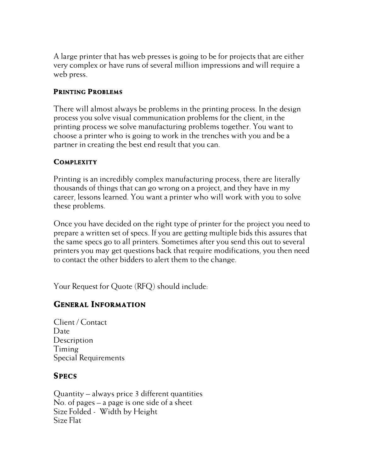A large printer that has web presses is going to be for projects that are either very complex or have runs of several million impressions and will require a web press.

## **PRINTING PROBLEMS**

There will almost always be problems in the printing process. In the design process you solve visual communication problems for the client, in the printing process we solve manufacturing problems together. You want to choose a printer who is going to work in the trenches with you and be a partner in creating the best end result that you can.

## **COMPLEXITY**

Printing is an incredibly complex manufacturing process, there are literally thousands of things that can go wrong on a project, and they have in my career, lessons learned. You want a printer who will work with you to solve these problems.

Once you have decided on the right type of printer for the project you need to prepare a written set of specs. If you are getting multiple bids this assures that the same specs go to all printers. Sometimes after you send this out to several printers you may get questions back that require modifications, you then need to contact the other bidders to alert them to the change.

Your Request for Quote (RFQ) should include:

# **GENERAL INFORMATION**

Client / Contact Date **Description** Timing Special Requirements

# **SPECS**

Quantity – always price 3 different quantities No. of pages – a page is one side of a sheet Size Folded - Width by Height Size Flat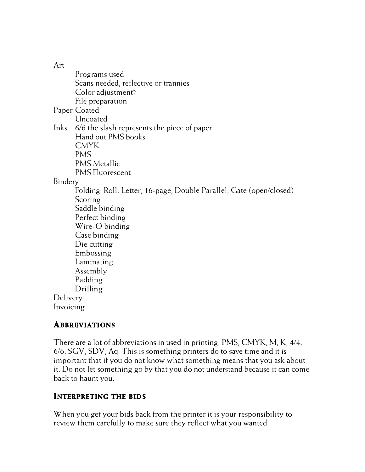Art

Programs used Scans needed, reflective or trannies Color adjustment? File preparation Paper Coated Uncoated Inks 6/6 the slash represents the piece of paper Hand out PMS books CMYK PMS PMS Metallic PMS Fluorescent Bindery Folding: Roll, Letter, 16-page, Double Parallel, Gate (open/closed) **Scoring** Saddle binding Perfect binding Wire-O binding Case binding Die cutting Embossing Laminating Assembly Padding Drilling Delivery Invoicing

## **ABBREVIATIONS**

There are a lot of abbreviations in used in printing: PMS, CMYK, M, K, 4/4, 6/6, SGV, SDV, Aq. This is something printers do to save time and it is important that if you do not know what something means that you ask about it. Do not let something go by that you do not understand because it can come back to haunt you.

## **INTERPRETING THE BIDS**

When you get your bids back from the printer it is your responsibility to review them carefully to make sure they reflect what you wanted.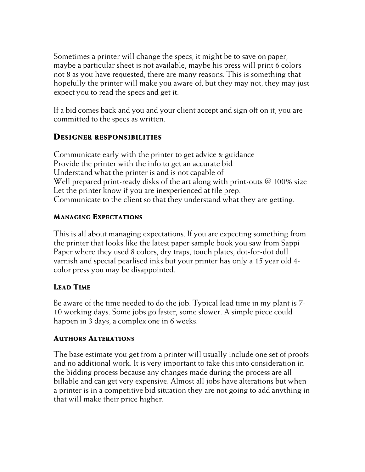Sometimes a printer will change the specs, it might be to save on paper, maybe a particular sheet is not available, maybe his press will print 6 colors not 8 as you have requested, there are many reasons. This is something that hopefully the printer will make you aware of, but they may not, they may just expect you to read the specs and get it.

If a bid comes back and you and your client accept and sign off on it, you are committed to the specs as written.

## **DESIGNER RESPONSIBILITIES**

Communicate early with the printer to get advice & guidance Provide the printer with the info to get an accurate bid Understand what the printer is and is not capable of Well prepared print-ready disks of the art along with print-outs  $\omega$  100% size Let the printer know if you are inexperienced at file prep. Communicate to the client so that they understand what they are getting.

## **MANAGING EXPECTATIONS**

This is all about managing expectations. If you are expecting something from the printer that looks like the latest paper sample book you saw from Sappi Paper where they used 8 colors, dry traps, touch plates, dot-for-dot dull varnish and special pearlised inks but your printer has only a 15 year old 4 color press you may be disappointed.

## **LEAD TIME**

Be aware of the time needed to do the job. Typical lead time in my plant is 7- 10 working days. Some jobs go faster, some slower. A simple piece could happen in 3 days, a complex one in 6 weeks.

## **AUTHORS ALTERATIONS**

The base estimate you get from a printer will usually include one set of proofs and no additional work. It is very important to take this into consideration in the bidding process because any changes made during the process are all billable and can get very expensive. Almost all jobs have alterations but when a printer is in a competitive bid situation they are not going to add anything in that will make their price higher.